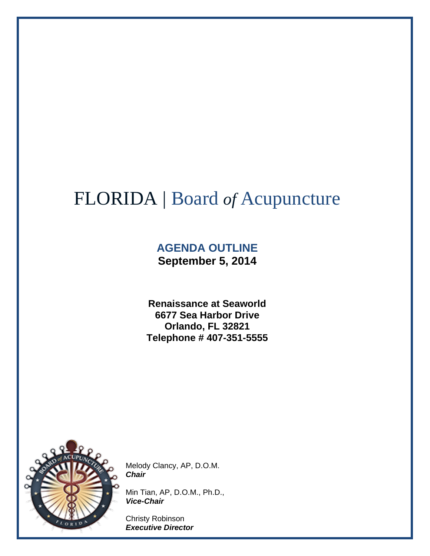# FLORIDA | Board *of* Acupuncture

### **AGENDA OUTLINE September 5, 2014**

**Renaissance at Seaworld 6677 Sea Harbor Drive Orlando, FL 32821 Telephone # 407-351-5555**



Melody Clancy, AP, D.O.M. *Chair*

Min Tian, AP, D.O.M., Ph.D., *Vice-Chair*

Christy Robinson *Executive Director*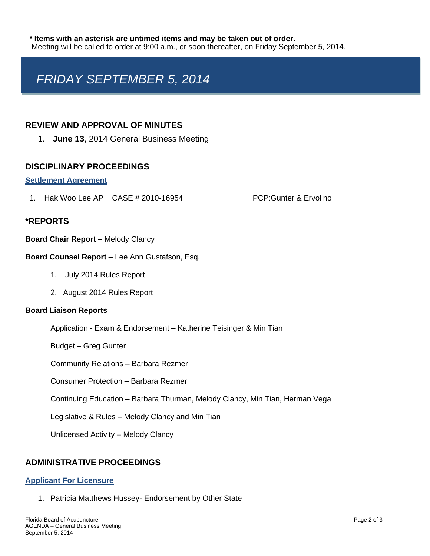## *FRIDAY SEPTEMBER 5, 2014*

#### **REVIEW AND APPROVAL OF MINUTES**

1. **June 13**, 2014 General Business Meeting

#### **DISCIPLINARY PROCEEDINGS**

#### **Settlement Agreement**

1. Hak Woo Lee AP CASE # 2010-16954 PCP:Gunter & Ervolino

#### **\*REPORTS**

#### **Board Chair Report** – Melody Clancy

#### **Board Counsel Report** – Lee Ann Gustafson, Esq.

- 1. July 2014 Rules Report
- 2. August 2014 Rules Report

#### **Board Liaison Reports**

Application - Exam & Endorsement – Katherine Teisinger & Min Tian

Budget – Greg Gunter

Community Relations – Barbara Rezmer

Consumer Protection – Barbara Rezmer

Continuing Education – Barbara Thurman, Melody Clancy, Min Tian, Herman Vega

Legislative & Rules – Melody Clancy and Min Tian

Unlicensed Activity – Melody Clancy

#### **ADMINISTRATIVE PROCEEDINGS**

#### **Applicant For Licensure**

1. Patricia Matthews Hussey- Endorsement by Other State